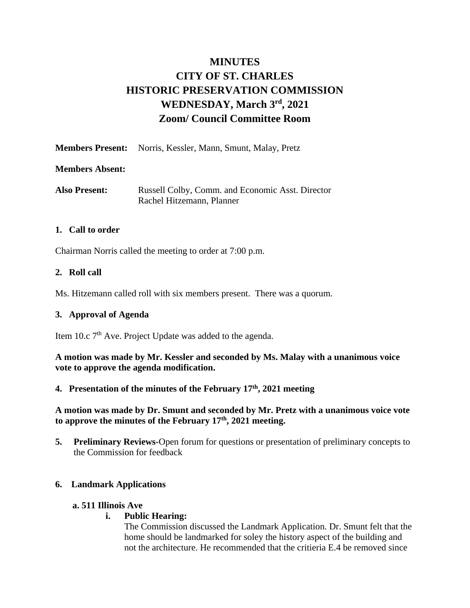# **MINUTES CITY OF ST. CHARLES HISTORIC PRESERVATION COMMISSION** WEDNESDAY, March  $3^{\text{rd}}$ , 2021 **Zoom/ Council Committee Room**

|                        | <b>Members Present:</b> Norris, Kessler, Mann, Smunt, Malay, Pretz |
|------------------------|--------------------------------------------------------------------|
| <b>Members Absent:</b> |                                                                    |
| <b>Also Present:</b>   | Russell Colby, Comm. and Economic Asst. Director                   |

Rachel Hitzemann, Planner

## **1. Call to order**

Chairman Norris called the meeting to order at 7:00 p.m.

## **2. Roll call**

Ms. Hitzemann called roll with six members present. There was a quorum.

## **3. Approval of Agenda**

Item 10.c 7<sup>th</sup> Ave. Project Update was added to the agenda.

**A motion was made by Mr. Kessler and seconded by Ms. Malay with a unanimous voice vote to approve the agenda modification.**

## **4. Presentation of the minutes of the February 17th , 2021 meeting**

**A motion was made by Dr. Smunt and seconded by Mr. Pretz with a unanimous voice vote to approve the minutes of the February 17th, 2021 meeting.**

**5. Preliminary Reviews-**Open forum for questions or presentation of preliminary concepts to the Commission for feedback

## **6. Landmark Applications**

#### **a. 511 Illinois Ave**

## **i. Public Hearing:**

The Commission discussed the Landmark Application. Dr. Smunt felt that the home should be landmarked for soley the history aspect of the building and not the architecture. He recommended that the critieria E.4 be removed since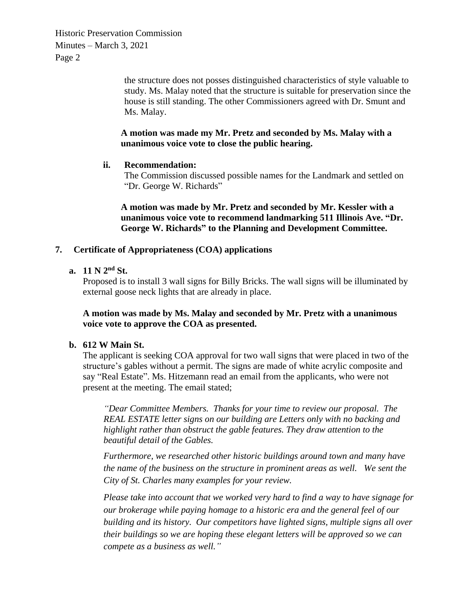> the structure does not posses distinguished characteristics of style valuable to study. Ms. Malay noted that the structure is suitable for preservation since the house is still standing. The other Commissioners agreed with Dr. Smunt and Ms. Malay.

## **A motion was made my Mr. Pretz and seconded by Ms. Malay with a unanimous voice vote to close the public hearing.**

## **ii. Recommendation:**

The Commission discussed possible names for the Landmark and settled on "Dr. George W. Richards"

**A motion was made by Mr. Pretz and seconded by Mr. Kessler with a unanimous voice vote to recommend landmarking 511 Illinois Ave. "Dr. George W. Richards" to the Planning and Development Committee.** 

## **7. Certificate of Appropriateness (COA) applications**

**a. 11 N 2nd St.**

Proposed is to install 3 wall signs for Billy Bricks. The wall signs will be illuminated by external goose neck lights that are already in place.

**A motion was made by Ms. Malay and seconded by Mr. Pretz with a unanimous voice vote to approve the COA as presented.**

## **b. 612 W Main St.**

The applicant is seeking COA approval for two wall signs that were placed in two of the structure's gables without a permit. The signs are made of white acrylic composite and say "Real Estate". Ms. Hitzemann read an email from the applicants, who were not present at the meeting. The email stated;

*"Dear Committee Members. Thanks for your time to review our proposal. The REAL ESTATE letter signs on our building are Letters only with no backing and highlight rather than obstruct the gable features. They draw attention to the beautiful detail of the Gables.*

*Furthermore, we researched other historic buildings around town and many have the name of the business on the structure in prominent areas as well. We sent the City of St. Charles many examples for your review.* 

*Please take into account that we worked very hard to find a way to have signage for our brokerage while paying homage to a historic era and the general feel of our building and its history. Our competitors have lighted signs, multiple signs all over their buildings so we are hoping these elegant letters will be approved so we can compete as a business as well."*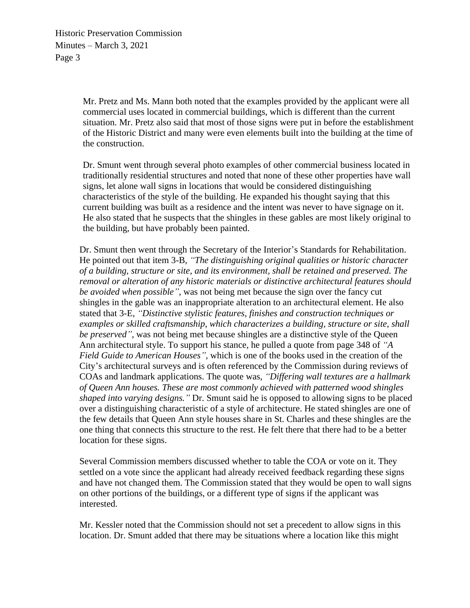> Mr. Pretz and Ms. Mann both noted that the examples provided by the applicant were all commercial uses located in commercial buildings, which is different than the current situation. Mr. Pretz also said that most of those signs were put in before the establishment of the Historic District and many were even elements built into the building at the time of the construction.

> Dr. Smunt went through several photo examples of other commercial business located in traditionally residential structures and noted that none of these other properties have wall signs, let alone wall signs in locations that would be considered distinguishing characteristics of the style of the building. He expanded his thought saying that this current building was built as a residence and the intent was never to have signage on it. He also stated that he suspects that the shingles in these gables are most likely original to the building, but have probably been painted.

Dr. Smunt then went through the Secretary of the Interior's Standards for Rehabilitation. He pointed out that item 3-B, *"The distinguishing original qualities or historic character of a building, structure or site, and its environment, shall be retained and preserved. The removal or alteration of any historic materials or distinctive architectural features should be avoided when possible"*, was not being met because the sign over the fancy cut shingles in the gable was an inappropriate alteration to an architectural element. He also stated that 3-E, *"Distinctive stylistic features, finishes and construction techniques or examples or skilled craftsmanship, which characterizes a building, structure or site, shall be preserved"*, was not being met because shingles are a distinctive style of the Queen Ann architectural style. To support his stance, he pulled a quote from page 348 of *"A Field Guide to American Houses",* which is one of the books used in the creation of the City's architectural surveys and is often referenced by the Commission during reviews of COAs and landmark applications. The quote was, *"Differing wall textures are a hallmark of Queen Ann houses. These are most commonly achieved with patterned wood shingles shaped into varying designs."* Dr. Smunt said he is opposed to allowing signs to be placed over a distinguishing characteristic of a style of architecture. He stated shingles are one of the few details that Queen Ann style houses share in St. Charles and these shingles are the one thing that connects this structure to the rest. He felt there that there had to be a better location for these signs.

Several Commission members discussed whether to table the COA or vote on it. They settled on a vote since the applicant had already received feedback regarding these signs and have not changed them. The Commission stated that they would be open to wall signs on other portions of the buildings, or a different type of signs if the applicant was interested.

Mr. Kessler noted that the Commission should not set a precedent to allow signs in this location. Dr. Smunt added that there may be situations where a location like this might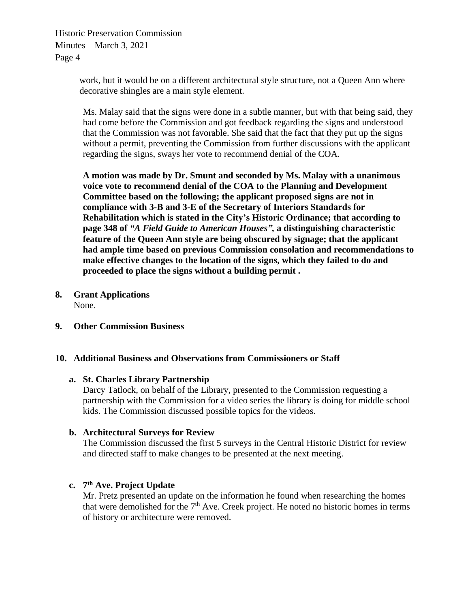> work, but it would be on a different architectural style structure, not a Queen Ann where decorative shingles are a main style element.

Ms. Malay said that the signs were done in a subtle manner, but with that being said, they had come before the Commission and got feedback regarding the signs and understood that the Commission was not favorable. She said that the fact that they put up the signs without a permit, preventing the Commission from further discussions with the applicant regarding the signs, sways her vote to recommend denial of the COA.

**A motion was made by Dr. Smunt and seconded by Ms. Malay with a unanimous voice vote to recommend denial of the COA to the Planning and Development Committee based on the following; the applicant proposed signs are not in compliance with 3-B and 3-E of the Secretary of Interiors Standards for Rehabilitation which is stated in the City's Historic Ordinance; that according to page 348 of** *"A Field Guide to American Houses",* **a distinguishing characteristic feature of the Queen Ann style are being obscured by signage; that the applicant had ample time based on previous Commission consolation and recommendations to make effective changes to the location of the signs, which they failed to do and proceeded to place the signs without a building permit .** 

- **8. Grant Applications** None.
- **9. Other Commission Business**

## **10. Additional Business and Observations from Commissioners or Staff**

#### **a. St. Charles Library Partnership**

Darcy Tatlock, on behalf of the Library, presented to the Commission requesting a partnership with the Commission for a video series the library is doing for middle school kids. The Commission discussed possible topics for the videos.

## **b. Architectural Surveys for Review**

The Commission discussed the first 5 surveys in the Central Historic District for review and directed staff to make changes to be presented at the next meeting.

## **c. 7 th Ave. Project Update**

Mr. Pretz presented an update on the information he found when researching the homes that were demolished for the 7<sup>th</sup> Ave. Creek project. He noted no historic homes in terms of history or architecture were removed.